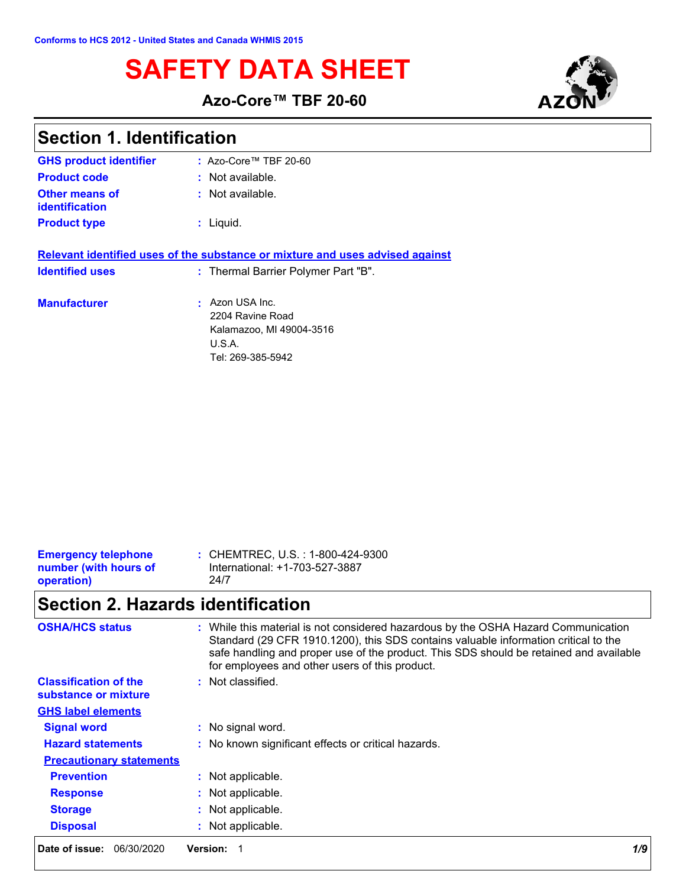# **SAFETY DATA SHEET**



**Azo-Core™ TBF 20-60**

| <b>Section 1. Identification</b> |  |
|----------------------------------|--|
|----------------------------------|--|

| <b>GHS product identifier</b>           | $:$ Azo-Core™ TBF 20-60                                                                                              |
|-----------------------------------------|----------------------------------------------------------------------------------------------------------------------|
| <b>Product code</b>                     | $:$ Not available.                                                                                                   |
| <b>Other means of</b><br>identification | : Not available.                                                                                                     |
| <b>Product type</b>                     | : Liquid.                                                                                                            |
| <b>Identified uses</b>                  | Relevant identified uses of the substance or mixture and uses advised against<br>: Thermal Barrier Polymer Part "B". |
|                                         |                                                                                                                      |
| <b>Manufacturer</b>                     | : Azon USA Inc.<br>2204 Ravine Road<br>Kalamazoo, MI 49004-3516<br>U.S.A.<br>Tel: 269-385-5942                       |

| <b>Emergency telephone</b> | : CHEMTREC, U.S. : 1-800-424-9300 |
|----------------------------|-----------------------------------|
| number (with hours of      | International: +1-703-527-3887    |
| operation)                 | 24/7                              |
|                            |                                   |

# **Section 2. Hazards identification**

| <b>OSHA/HCS status</b>                               | : While this material is not considered hazardous by the OSHA Hazard Communication<br>Standard (29 CFR 1910.1200), this SDS contains valuable information critical to the<br>safe handling and proper use of the product. This SDS should be retained and available<br>for employees and other users of this product. |  |
|------------------------------------------------------|-----------------------------------------------------------------------------------------------------------------------------------------------------------------------------------------------------------------------------------------------------------------------------------------------------------------------|--|
| <b>Classification of the</b><br>substance or mixture | : Not classified.                                                                                                                                                                                                                                                                                                     |  |
| <b>GHS label elements</b>                            |                                                                                                                                                                                                                                                                                                                       |  |
| <b>Signal word</b>                                   | : No signal word.                                                                                                                                                                                                                                                                                                     |  |
| <b>Hazard statements</b>                             | : No known significant effects or critical hazards.                                                                                                                                                                                                                                                                   |  |
| <b>Precautionary statements</b>                      |                                                                                                                                                                                                                                                                                                                       |  |
| <b>Prevention</b>                                    | : Not applicable.                                                                                                                                                                                                                                                                                                     |  |
| <b>Response</b>                                      | : Not applicable.                                                                                                                                                                                                                                                                                                     |  |
| <b>Storage</b>                                       | : Not applicable.                                                                                                                                                                                                                                                                                                     |  |
| <b>Disposal</b>                                      | : Not applicable.                                                                                                                                                                                                                                                                                                     |  |
| Date of issue:<br>06/30/2020                         | 1/9<br><b>Version:</b>                                                                                                                                                                                                                                                                                                |  |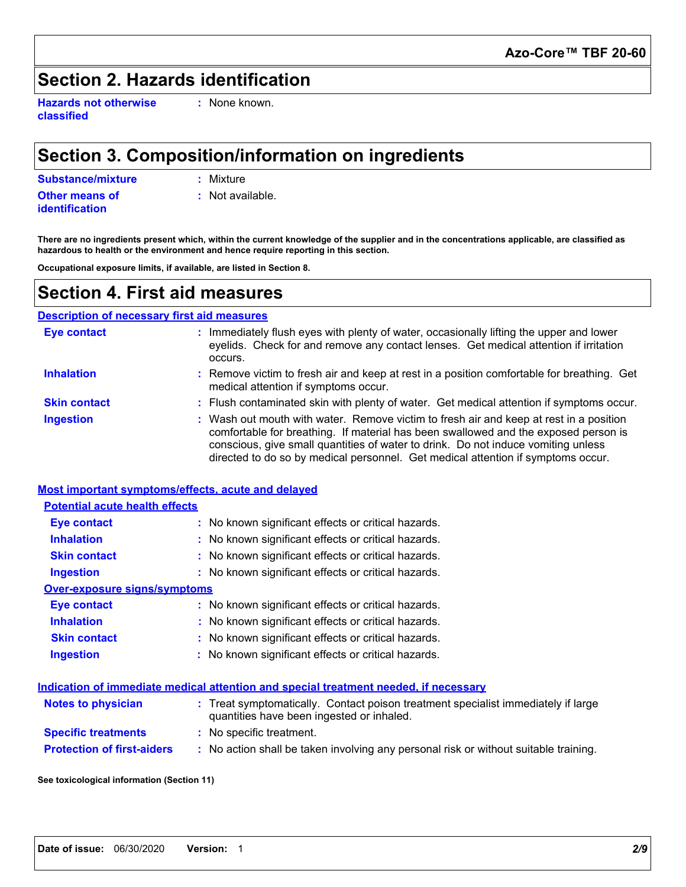## **Section 2. Hazards identification**

**Hazards not otherwise classified**

**:** None known.

## **Section 3. Composition/information on ingredients**

**Substance/mixture :** Mixture

**Other means of identification**

**:** Not available.

**There are no ingredients present which, within the current knowledge of the supplier and in the concentrations applicable, are classified as hazardous to health or the environment and hence require reporting in this section.**

**Occupational exposure limits, if available, are listed in Section 8.**

### **Section 4. First aid measures**

#### **Description of necessary first aid measures**

| <b>Eye contact</b>  | Immediately flush eyes with plenty of water, occasionally lifting the upper and lower<br>eyelids. Check for and remove any contact lenses. Get medical attention if irritation<br>occurs.                                                                                                                                                              |
|---------------------|--------------------------------------------------------------------------------------------------------------------------------------------------------------------------------------------------------------------------------------------------------------------------------------------------------------------------------------------------------|
| <b>Inhalation</b>   | : Remove victim to fresh air and keep at rest in a position comfortable for breathing. Get<br>medical attention if symptoms occur.                                                                                                                                                                                                                     |
| <b>Skin contact</b> | : Flush contaminated skin with plenty of water. Get medical attention if symptoms occur.                                                                                                                                                                                                                                                               |
| <b>Ingestion</b>    | : Wash out mouth with water. Remove victim to fresh air and keep at rest in a position<br>comfortable for breathing. If material has been swallowed and the exposed person is<br>conscious, give small quantities of water to drink. Do not induce vomiting unless<br>directed to do so by medical personnel. Get medical attention if symptoms occur. |

|                                       | Most important symptoms/effects, acute and delayed                                                                             |
|---------------------------------------|--------------------------------------------------------------------------------------------------------------------------------|
| <b>Potential acute health effects</b> |                                                                                                                                |
| <b>Eye contact</b>                    | : No known significant effects or critical hazards.                                                                            |
| <b>Inhalation</b>                     | : No known significant effects or critical hazards.                                                                            |
| <b>Skin contact</b>                   | : No known significant effects or critical hazards.                                                                            |
| <b>Ingestion</b>                      | : No known significant effects or critical hazards.                                                                            |
| <b>Over-exposure signs/symptoms</b>   |                                                                                                                                |
| <b>Eye contact</b>                    | : No known significant effects or critical hazards.                                                                            |
| <b>Inhalation</b>                     | : No known significant effects or critical hazards.                                                                            |
| <b>Skin contact</b>                   | : No known significant effects or critical hazards.                                                                            |
| <b>Ingestion</b>                      | : No known significant effects or critical hazards.                                                                            |
|                                       | Indication of immediate medical attention and special treatment needed, if necessary                                           |
| <b>Notes to physician</b>             | : Treat symptomatically. Contact poison treatment specialist immediately if large<br>quantities have been ingested or inhaled. |
| <b>Specific treatments</b>            | : No specific treatment.                                                                                                       |

**Protection of first-aiders :** No action shall be taken involving any personal risk or without suitable training.

**See toxicological information (Section 11)**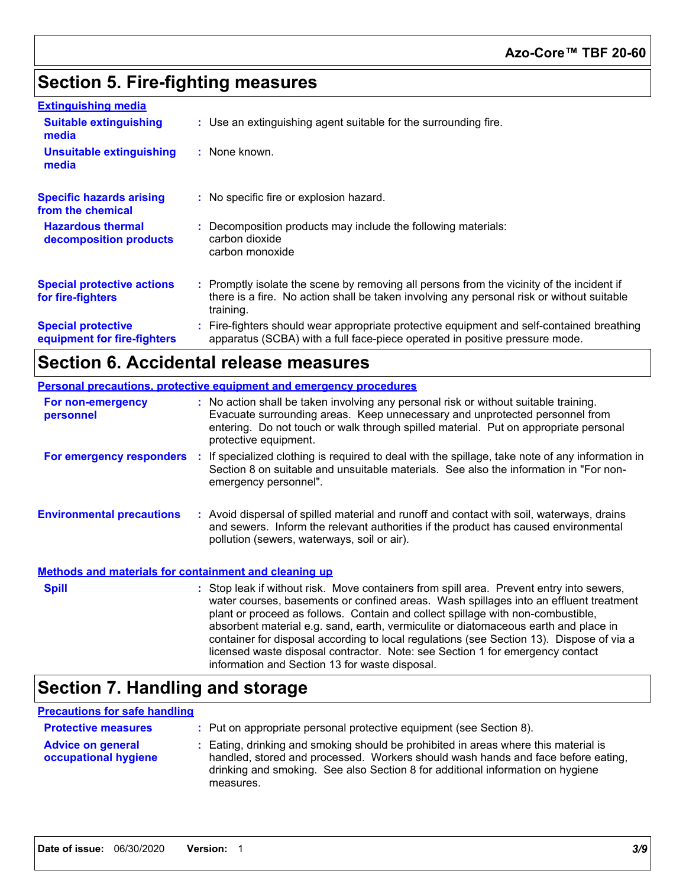## **Section 5. Fire-fighting measures**

| <b>Extinguishing media</b>                               |                                                                                                                                                                                                     |
|----------------------------------------------------------|-----------------------------------------------------------------------------------------------------------------------------------------------------------------------------------------------------|
| <b>Suitable extinguishing</b><br>media                   | : Use an extinguishing agent suitable for the surrounding fire.                                                                                                                                     |
| <b>Unsuitable extinguishing</b><br>media                 | : None known.                                                                                                                                                                                       |
| <b>Specific hazards arising</b><br>from the chemical     | : No specific fire or explosion hazard.                                                                                                                                                             |
| <b>Hazardous thermal</b><br>decomposition products       | : Decomposition products may include the following materials:<br>carbon dioxide<br>carbon monoxide                                                                                                  |
| <b>Special protective actions</b><br>for fire-fighters   | : Promptly isolate the scene by removing all persons from the vicinity of the incident if<br>there is a fire. No action shall be taken involving any personal risk or without suitable<br>training. |
| <b>Special protective</b><br>equipment for fire-fighters | : Fire-fighters should wear appropriate protective equipment and self-contained breathing<br>apparatus (SCBA) with a full face-piece operated in positive pressure mode.                            |

## **Section 6. Accidental release measures**

| <b>Personal precautions, protective equipment and emergency procedures</b> |  |                                                                                                                                                                                                                                                                                                                                                                                                                                                                                                                                                                                            |
|----------------------------------------------------------------------------|--|--------------------------------------------------------------------------------------------------------------------------------------------------------------------------------------------------------------------------------------------------------------------------------------------------------------------------------------------------------------------------------------------------------------------------------------------------------------------------------------------------------------------------------------------------------------------------------------------|
| For non-emergency<br>personnel                                             |  | : No action shall be taken involving any personal risk or without suitable training.<br>Evacuate surrounding areas. Keep unnecessary and unprotected personnel from<br>entering. Do not touch or walk through spilled material. Put on appropriate personal<br>protective equipment.                                                                                                                                                                                                                                                                                                       |
|                                                                            |  | For emergency responders : If specialized clothing is required to deal with the spillage, take note of any information in<br>Section 8 on suitable and unsuitable materials. See also the information in "For non-<br>emergency personnel".                                                                                                                                                                                                                                                                                                                                                |
| <b>Environmental precautions</b>                                           |  | : Avoid dispersal of spilled material and runoff and contact with soil, waterways, drains<br>and sewers. Inform the relevant authorities if the product has caused environmental<br>pollution (sewers, waterways, soil or air).                                                                                                                                                                                                                                                                                                                                                            |
| <b>Methods and materials for containment and cleaning up</b>               |  |                                                                                                                                                                                                                                                                                                                                                                                                                                                                                                                                                                                            |
| <b>Spill</b>                                                               |  | : Stop leak if without risk. Move containers from spill area. Prevent entry into sewers,<br>water courses, basements or confined areas. Wash spillages into an effluent treatment<br>plant or proceed as follows. Contain and collect spillage with non-combustible,<br>absorbent material e.g. sand, earth, vermiculite or diatomaceous earth and place in<br>container for disposal according to local regulations (see Section 13). Dispose of via a<br>licensed waste disposal contractor. Note: see Section 1 for emergency contact<br>information and Section 13 for waste disposal. |

## **Section 7. Handling and storage**

#### **Precautions for safe handling**

| <b>Protective measures</b>                       | : Put on appropriate personal protective equipment (see Section 8).                                                                                                                                                                                                    |
|--------------------------------------------------|------------------------------------------------------------------------------------------------------------------------------------------------------------------------------------------------------------------------------------------------------------------------|
| <b>Advice on general</b><br>occupational hygiene | : Eating, drinking and smoking should be prohibited in areas where this material is<br>handled, stored and processed. Workers should wash hands and face before eating,<br>drinking and smoking. See also Section 8 for additional information on hygiene<br>measures. |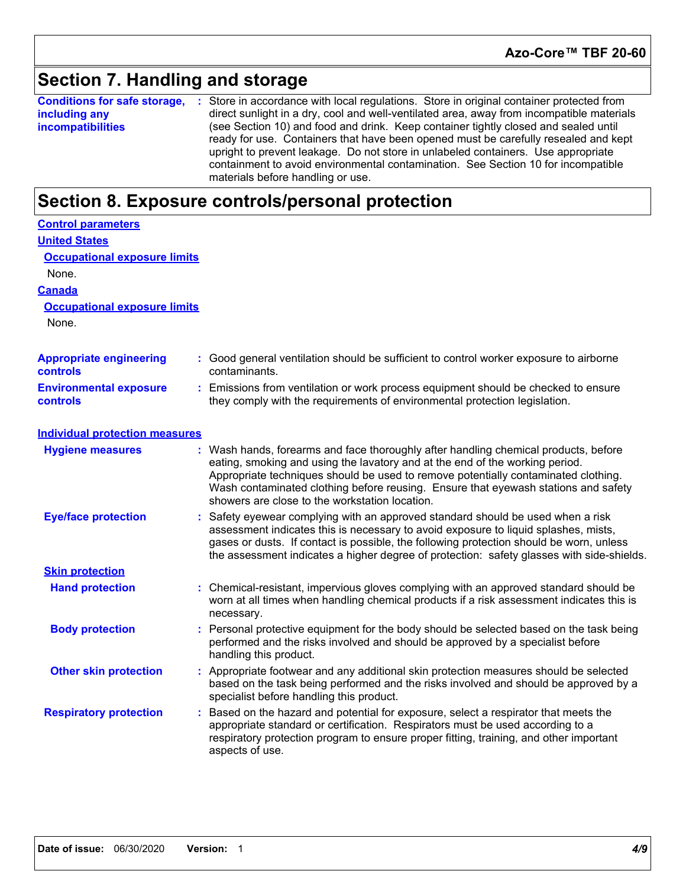### **Section 7. Handling and storage**

**Conditions for safe storage,** : Store in accordance with local regulations. Store in original container protected from **including any incompatibilities** direct sunlight in a dry, cool and well-ventilated area, away from incompatible materials (see Section 10) and food and drink. Keep container tightly closed and sealed until ready for use. Containers that have been opened must be carefully resealed and kept upright to prevent leakage. Do not store in unlabeled containers. Use appropriate containment to avoid environmental contamination. See Section 10 for incompatible materials before handling or use.

### **Section 8. Exposure controls/personal protection**

| <b>Control parameters</b>                  |                                                                                                                                                                                                                                                                                                                                                                                                   |
|--------------------------------------------|---------------------------------------------------------------------------------------------------------------------------------------------------------------------------------------------------------------------------------------------------------------------------------------------------------------------------------------------------------------------------------------------------|
| <b>United States</b>                       |                                                                                                                                                                                                                                                                                                                                                                                                   |
| <b>Occupational exposure limits</b>        |                                                                                                                                                                                                                                                                                                                                                                                                   |
| None.                                      |                                                                                                                                                                                                                                                                                                                                                                                                   |
| <b>Canada</b>                              |                                                                                                                                                                                                                                                                                                                                                                                                   |
| <b>Occupational exposure limits</b>        |                                                                                                                                                                                                                                                                                                                                                                                                   |
| None.                                      |                                                                                                                                                                                                                                                                                                                                                                                                   |
| <b>Appropriate engineering</b><br>controls | : Good general ventilation should be sufficient to control worker exposure to airborne<br>contaminants.                                                                                                                                                                                                                                                                                           |
| <b>Environmental exposure</b><br>controls  | : Emissions from ventilation or work process equipment should be checked to ensure<br>they comply with the requirements of environmental protection legislation.                                                                                                                                                                                                                                  |
| <b>Individual protection measures</b>      |                                                                                                                                                                                                                                                                                                                                                                                                   |
| <b>Hygiene measures</b>                    | : Wash hands, forearms and face thoroughly after handling chemical products, before<br>eating, smoking and using the lavatory and at the end of the working period.<br>Appropriate techniques should be used to remove potentially contaminated clothing.<br>Wash contaminated clothing before reusing. Ensure that eyewash stations and safety<br>showers are close to the workstation location. |
| <b>Eye/face protection</b>                 | Safety eyewear complying with an approved standard should be used when a risk<br>assessment indicates this is necessary to avoid exposure to liquid splashes, mists,<br>gases or dusts. If contact is possible, the following protection should be worn, unless<br>the assessment indicates a higher degree of protection: safety glasses with side-shields.                                      |
| <b>Skin protection</b>                     |                                                                                                                                                                                                                                                                                                                                                                                                   |
| <b>Hand protection</b>                     | Chemical-resistant, impervious gloves complying with an approved standard should be<br>worn at all times when handling chemical products if a risk assessment indicates this is<br>necessary.                                                                                                                                                                                                     |
| <b>Body protection</b>                     | : Personal protective equipment for the body should be selected based on the task being<br>performed and the risks involved and should be approved by a specialist before<br>handling this product.                                                                                                                                                                                               |
| <b>Other skin protection</b>               | : Appropriate footwear and any additional skin protection measures should be selected<br>based on the task being performed and the risks involved and should be approved by a<br>specialist before handling this product.                                                                                                                                                                         |
| <b>Respiratory protection</b>              | Based on the hazard and potential for exposure, select a respirator that meets the<br>appropriate standard or certification. Respirators must be used according to a<br>respiratory protection program to ensure proper fitting, training, and other important<br>aspects of use.                                                                                                                 |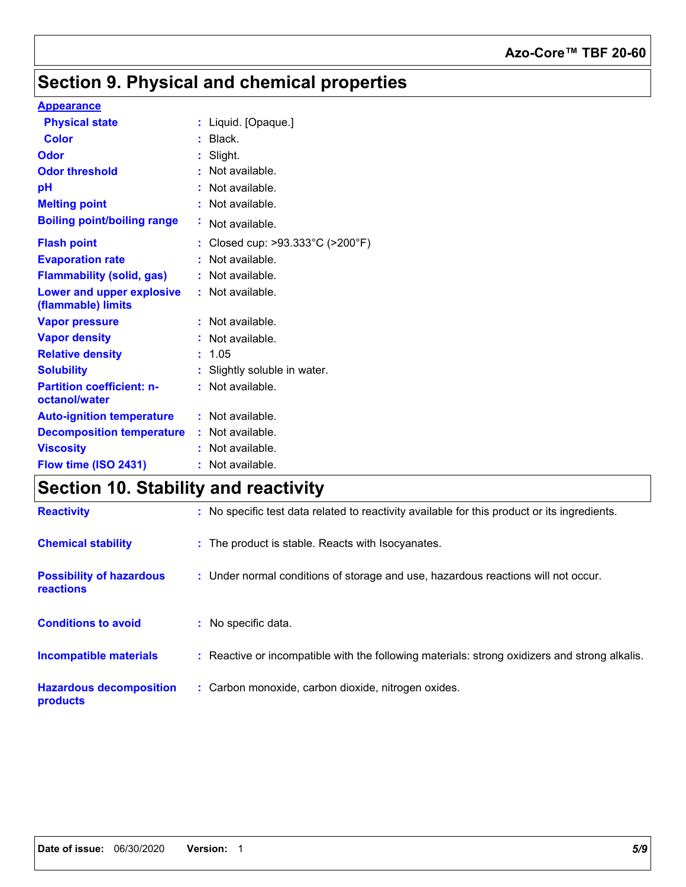### **Azo-Core™ TBF 20-60**

## **Section 9. Physical and chemical properties**

#### **Appearance**

| <b>Physical state</b>                                  |    | : Liquid. [Opaque.]                                 |
|--------------------------------------------------------|----|-----------------------------------------------------|
| <b>Color</b>                                           |    | Black.                                              |
| Odor                                                   |    | Slight.                                             |
| <b>Odor threshold</b>                                  |    | Not available.                                      |
| рH                                                     |    | Not available.                                      |
| <b>Melting point</b>                                   |    | Not available.                                      |
| <b>Boiling point/boiling range</b>                     | ÷. | Not available.                                      |
| <b>Flash point</b>                                     |    | Closed cup: $>93.333^{\circ}$ C ( $>200^{\circ}$ F) |
| <b>Evaporation rate</b>                                |    | Not available.                                      |
| <b>Flammability (solid, gas)</b>                       |    | Not available.                                      |
| <b>Lower and upper explosive</b><br>(flammable) limits |    | : Not available.                                    |
| <b>Vapor pressure</b>                                  |    | Not available.                                      |
| <b>Vapor density</b>                                   |    | Not available.                                      |
| <b>Relative density</b>                                |    | 1.05                                                |
| <b>Solubility</b>                                      |    | : Slightly soluble in water.                        |
| <b>Partition coefficient: n-</b><br>octanol/water      |    | $:$ Not available.                                  |
| <b>Auto-ignition temperature</b>                       |    | $:$ Not available.                                  |
| <b>Decomposition temperature</b>                       |    | $:$ Not available.                                  |
| <b>Viscosity</b>                                       |    | Not available.                                      |
| Flow time (ISO 2431)                                   |    | Not available.                                      |

## **Section 10. Stability and reactivity**

| <b>Reactivity</b>                                   | : No specific test data related to reactivity available for this product or its ingredients.  |
|-----------------------------------------------------|-----------------------------------------------------------------------------------------------|
| <b>Chemical stability</b>                           | : The product is stable. Reacts with Isocyanates.                                             |
| <b>Possibility of hazardous</b><br><b>reactions</b> | : Under normal conditions of storage and use, hazardous reactions will not occur.             |
| <b>Conditions to avoid</b>                          | : No specific data.                                                                           |
| <b>Incompatible materials</b>                       | : Reactive or incompatible with the following materials: strong oxidizers and strong alkalis. |
| <b>Hazardous decomposition</b><br>products          | : Carbon monoxide, carbon dioxide, nitrogen oxides.                                           |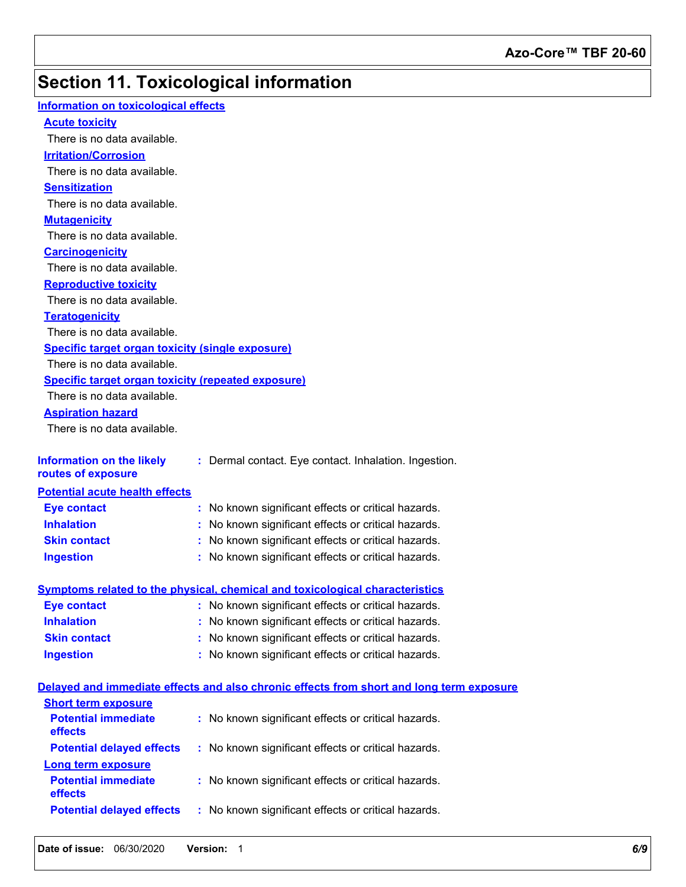## **Section 11. Toxicological information**

| Information on toxicological effects                      |                                                                                          |
|-----------------------------------------------------------|------------------------------------------------------------------------------------------|
| <b>Acute toxicity</b>                                     |                                                                                          |
| There is no data available.                               |                                                                                          |
| <b>Irritation/Corrosion</b>                               |                                                                                          |
| There is no data available.                               |                                                                                          |
| <b>Sensitization</b>                                      |                                                                                          |
| There is no data available.                               |                                                                                          |
| <b>Mutagenicity</b>                                       |                                                                                          |
| There is no data available.                               |                                                                                          |
| <b>Carcinogenicity</b>                                    |                                                                                          |
| There is no data available.                               |                                                                                          |
| <b>Reproductive toxicity</b>                              |                                                                                          |
| There is no data available.                               |                                                                                          |
| <b>Teratogenicity</b>                                     |                                                                                          |
| There is no data available.                               |                                                                                          |
| <b>Specific target organ toxicity (single exposure)</b>   |                                                                                          |
| There is no data available.                               |                                                                                          |
| <b>Specific target organ toxicity (repeated exposure)</b> |                                                                                          |
| There is no data available.                               |                                                                                          |
| <b>Aspiration hazard</b>                                  |                                                                                          |
| There is no data available.                               |                                                                                          |
|                                                           |                                                                                          |
| <b>Information on the likely</b><br>routes of exposure    | : Dermal contact. Eye contact. Inhalation. Ingestion.                                    |
| <b>Potential acute health effects</b>                     |                                                                                          |
| <b>Eye contact</b>                                        | : No known significant effects or critical hazards.                                      |
| <b>Inhalation</b>                                         | : No known significant effects or critical hazards.                                      |
| <b>Skin contact</b>                                       | : No known significant effects or critical hazards.                                      |
| <b>Ingestion</b>                                          | : No known significant effects or critical hazards.                                      |
|                                                           |                                                                                          |
|                                                           | <b>Symptoms related to the physical, chemical and toxicological characteristics</b>      |
| <b>Eye contact</b>                                        | : No known significant effects or critical hazards.                                      |
| <b>Inhalation</b>                                         | No known significant effects or critical hazards.                                        |
| <b>Skin contact</b>                                       | No known significant effects or critical hazards.                                        |
| <b>Ingestion</b>                                          | : No known significant effects or critical hazards.                                      |
|                                                           |                                                                                          |
|                                                           | Delayed and immediate effects and also chronic effects from short and long term exposure |
| <b>Short term exposure</b>                                |                                                                                          |
| <b>Potential immediate</b><br>effects                     | : No known significant effects or critical hazards.                                      |
| <b>Potential delayed effects</b>                          | : No known significant effects or critical hazards.                                      |
| <b>Long term exposure</b>                                 |                                                                                          |
| <b>Potential immediate</b><br>effects                     | : No known significant effects or critical hazards.                                      |
| <b>Potential delayed effects</b>                          | : No known significant effects or critical hazards.                                      |
|                                                           |                                                                                          |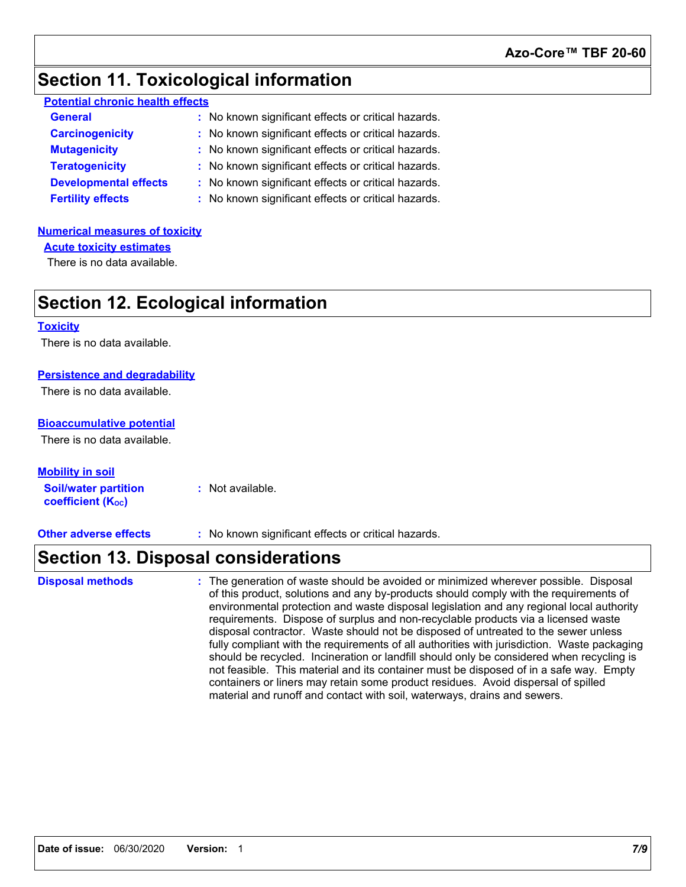### **Section 11. Toxicological information**

| <b>Potential chronic health effects</b> |
|-----------------------------------------|
|-----------------------------------------|

| <b>General</b>               | : No known significant effects or critical hazards. |
|------------------------------|-----------------------------------------------------|
| <b>Carcinogenicity</b>       | : No known significant effects or critical hazards. |
| <b>Mutagenicity</b>          | : No known significant effects or critical hazards. |
| <b>Teratogenicity</b>        | : No known significant effects or critical hazards. |
| <b>Developmental effects</b> | : No known significant effects or critical hazards. |
| <b>Fertility effects</b>     | : No known significant effects or critical hazards. |

#### **Numerical measures of toxicity**

**Acute toxicity estimates**

There is no data available.

### **Section 12. Ecological information**

#### **Toxicity**

There is no data available.

#### **Persistence and degradability**

There is no data available.

#### **Bioaccumulative potential**

There is no data available.

**Soil/water partition coefficient (KOC) :** Not available. **Mobility in soil**

**Other adverse effects** : No known significant effects or critical hazards.

### **Section 13. Disposal considerations**

The generation of waste should be avoided or minimized wherever possible. Disposal of this product, solutions and any by-products should comply with the requirements of environmental protection and waste disposal legislation and any regional local authority requirements. Dispose of surplus and non-recyclable products via a licensed waste disposal contractor. Waste should not be disposed of untreated to the sewer unless fully compliant with the requirements of all authorities with jurisdiction. Waste packaging should be recycled. Incineration or landfill should only be considered when recycling is not feasible. This material and its container must be disposed of in a safe way. Empty containers or liners may retain some product residues. Avoid dispersal of spilled material and runoff and contact with soil, waterways, drains and sewers. **Disposal methods :**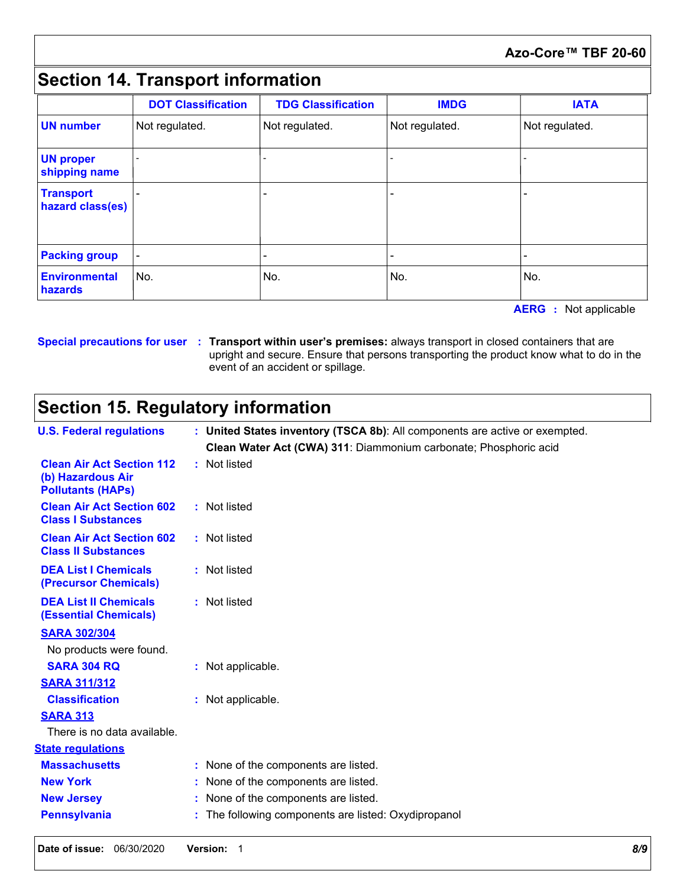#### **Azo-Core™ TBF 20-60**

## **Section 14. Transport information**

|                                      | <b>DOT Classification</b> | <b>TDG Classification</b> | <b>IMDG</b>    | <b>IATA</b>    |
|--------------------------------------|---------------------------|---------------------------|----------------|----------------|
| <b>UN</b> number                     | Not regulated.            | Not regulated.            | Not regulated. | Not regulated. |
| <b>UN proper</b><br>shipping name    |                           |                           |                |                |
| <b>Transport</b><br>hazard class(es) |                           |                           |                |                |
| <b>Packing group</b>                 |                           |                           |                |                |
| <b>Environmental</b><br>hazards      | No.                       | No.                       | No.            | No.            |

**AERG :** Not applicable

#### **Special precautions for user Transport within user's premises:** always transport in closed containers that are **:** upright and secure. Ensure that persons transporting the product know what to do in the event of an accident or spillage.

## **Section 15. Regulatory information**

|                                                                                   | upright and secure. Ensure that persons transporting the product know what to do in the<br>event of an accident or spillage. |  |  |  |
|-----------------------------------------------------------------------------------|------------------------------------------------------------------------------------------------------------------------------|--|--|--|
| <b>Section 15. Regulatory information</b>                                         |                                                                                                                              |  |  |  |
| <b>U.S. Federal regulations</b>                                                   | : United States inventory (TSCA 8b): All components are active or exempted.                                                  |  |  |  |
|                                                                                   | Clean Water Act (CWA) 311: Diammonium carbonate; Phosphoric acid                                                             |  |  |  |
| <b>Clean Air Act Section 112</b><br>(b) Hazardous Air<br><b>Pollutants (HAPs)</b> | : Not listed                                                                                                                 |  |  |  |
| <b>Clean Air Act Section 602</b><br><b>Class I Substances</b>                     | : Not listed                                                                                                                 |  |  |  |
| <b>Clean Air Act Section 602</b><br><b>Class II Substances</b>                    | : Not listed                                                                                                                 |  |  |  |
| <b>DEA List I Chemicals</b><br>(Precursor Chemicals)                              | : Not listed                                                                                                                 |  |  |  |
| <b>DEA List II Chemicals</b><br><b>(Essential Chemicals)</b>                      | : Not listed                                                                                                                 |  |  |  |
| <b>SARA 302/304</b>                                                               |                                                                                                                              |  |  |  |
| No products were found.                                                           |                                                                                                                              |  |  |  |
| <b>SARA 304 RQ</b>                                                                | : Not applicable.                                                                                                            |  |  |  |
| <b>SARA 311/312</b>                                                               |                                                                                                                              |  |  |  |
| <b>Classification</b>                                                             | : Not applicable.                                                                                                            |  |  |  |
| <b>SARA 313</b>                                                                   |                                                                                                                              |  |  |  |
| There is no data available.                                                       |                                                                                                                              |  |  |  |
| <b>State regulations</b>                                                          |                                                                                                                              |  |  |  |
| <b>Massachusetts</b>                                                              | : None of the components are listed.                                                                                         |  |  |  |
| <b>New York</b>                                                                   | : None of the components are listed.                                                                                         |  |  |  |
| <b>New Jersey</b>                                                                 | : None of the components are listed.                                                                                         |  |  |  |
| <b>Pennsylvania</b>                                                               | : The following components are listed: Oxydipropanol                                                                         |  |  |  |